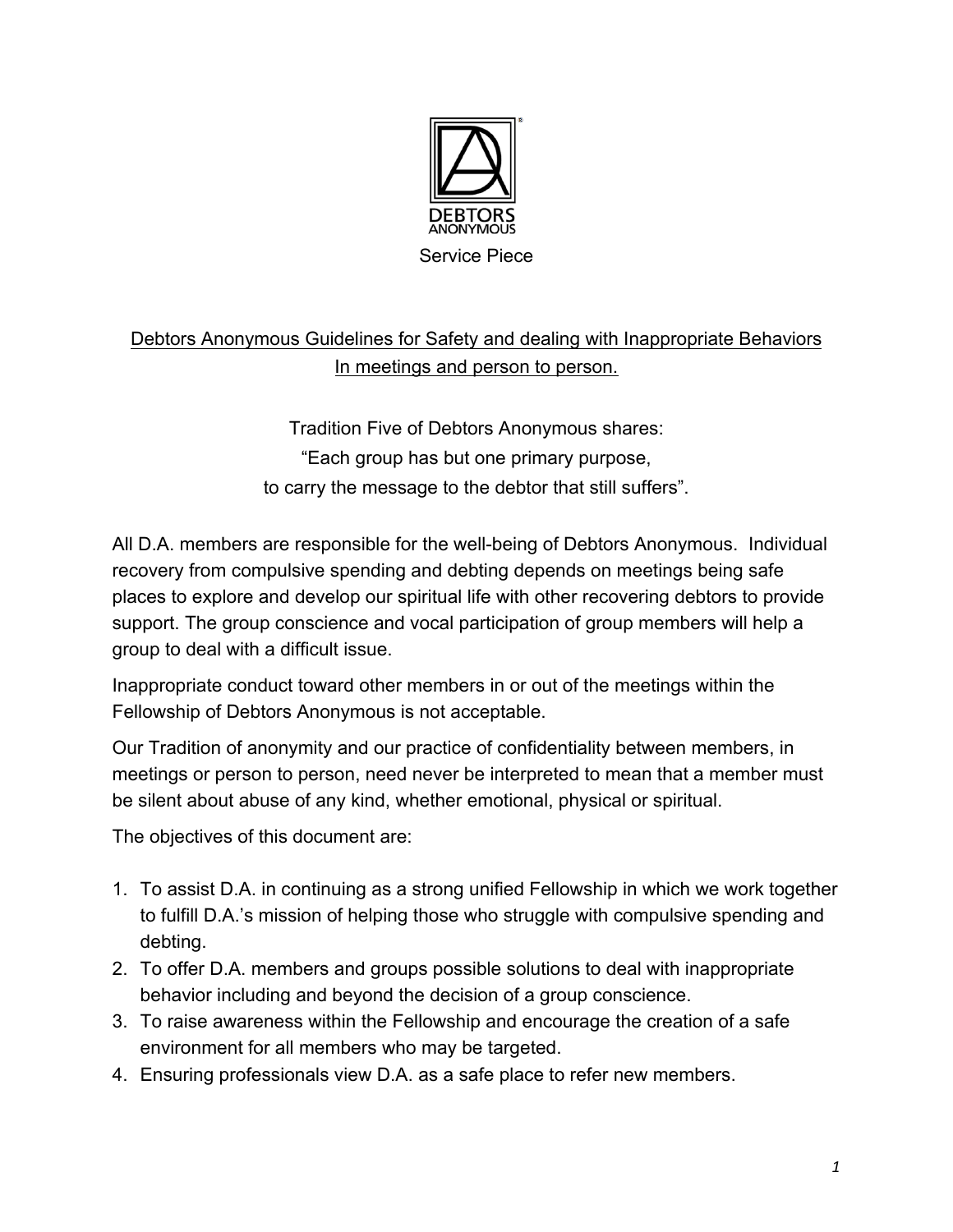

## Debtors Anonymous Guidelines for Safety and dealing with Inappropriate Behaviors In meetings and person to person.

Tradition Five of Debtors Anonymous shares: "Each group has but one primary purpose, to carry the message to the debtor that still suffers".

All D.A. members are responsible for the well-being of Debtors Anonymous. Individual recovery from compulsive spending and debting depends on meetings being safe places to explore and develop our spiritual life with other recovering debtors to provide support. The group conscience and vocal participation of group members will help a group to deal with a difficult issue.

Inappropriate conduct toward other members in or out of the meetings within the Fellowship of Debtors Anonymous is not acceptable.

Our Tradition of anonymity and our practice of confidentiality between members, in meetings or person to person, need never be interpreted to mean that a member must be silent about abuse of any kind, whether emotional, physical or spiritual.

The objectives of this document are:

- 1. To assist D.A. in continuing as a strong unified Fellowship in which we work together to fulfill D.A.'s mission of helping those who struggle with compulsive spending and debting.
- 2. To offer D.A. members and groups possible solutions to deal with inappropriate behavior including and beyond the decision of a group conscience.
- 3. To raise awareness within the Fellowship and encourage the creation of a safe environment for all members who may be targeted.
- 4. Ensuring professionals view D.A. as a safe place to refer new members.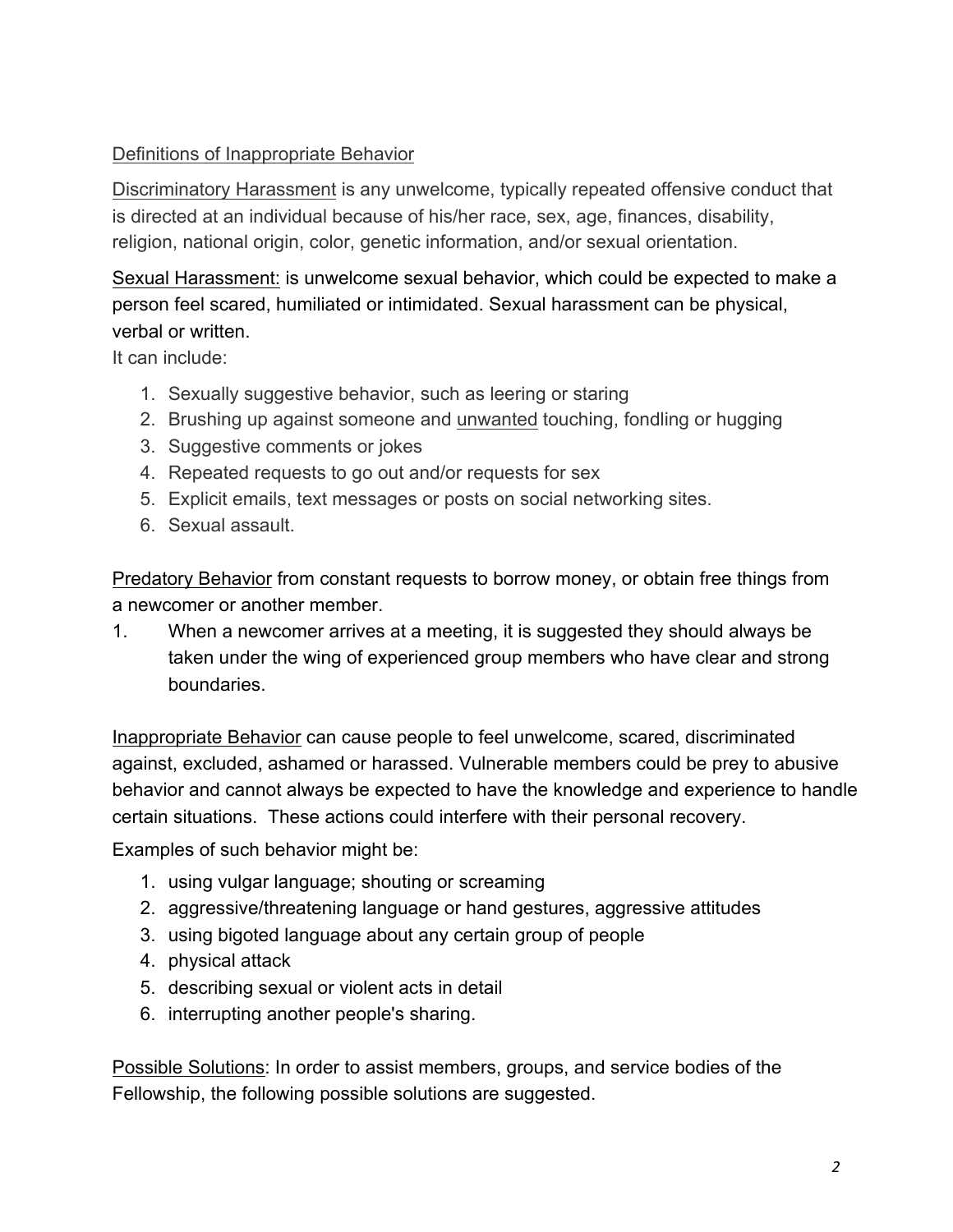## Definitions of Inappropriate Behavior

Discriminatory Harassment is any unwelcome, typically repeated offensive conduct that is directed at an individual because of his/her race, sex, age, finances, disability, religion, national origin, color, genetic information, and/or sexual orientation.

## Sexual Harassment: is unwelcome sexual behavior, which could be expected to make a person feel scared, humiliated or intimidated. Sexual harassment can be physical, verbal or written.

It can include:

- 1. Sexually suggestive behavior, such as leering or staring
- 2. Brushing up against someone and unwanted touching, fondling or hugging
- 3. Suggestive comments or jokes
- 4. Repeated requests to go out and/or requests for sex
- 5. Explicit emails, text messages or posts on social networking sites.
- 6. Sexual assault.

Predatory Behavior from constant requests to borrow money, or obtain free things from a newcomer or another member.

1. When a newcomer arrives at a meeting, it is suggested they should always be taken under the wing of experienced group members who have clear and strong boundaries.

Inappropriate Behavior can cause people to feel unwelcome, scared, discriminated against, excluded, ashamed or harassed. Vulnerable members could be prey to abusive behavior and cannot always be expected to have the knowledge and experience to handle certain situations. These actions could interfere with their personal recovery.

Examples of such behavior might be:

- 1. using vulgar language; shouting or screaming
- 2. aggressive/threatening language or hand gestures, aggressive attitudes
- 3. using bigoted language about any certain group of people
- 4. physical attack
- 5. describing sexual or violent acts in detail
- 6. interrupting another people's sharing.

Possible Solutions: In order to assist members, groups, and service bodies of the Fellowship, the following possible solutions are suggested.